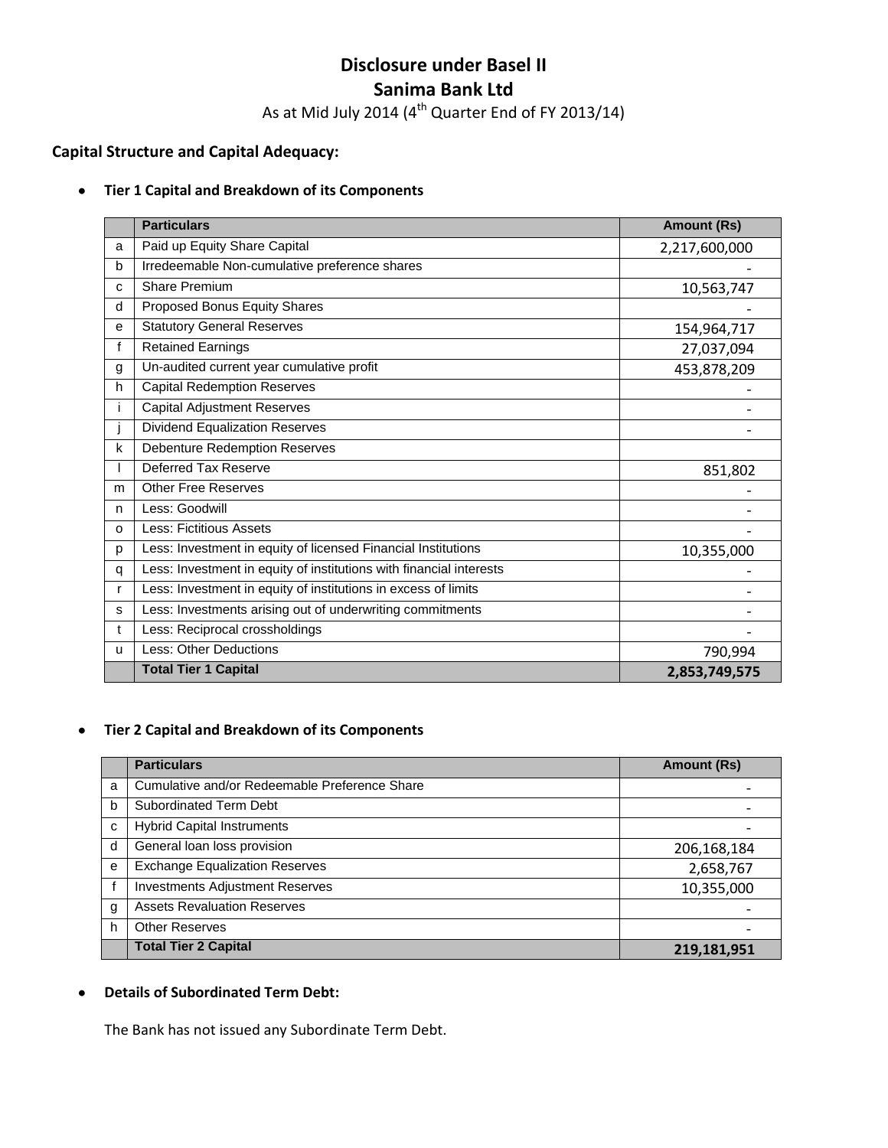# **Disclosure under Basel II Sanima Bank Ltd**

As at Mid July 2014 (4<sup>th</sup> Quarter End of FY 2013/14)

# **Capital Structure and Capital Adequacy:**

#### $\bullet$ **Tier 1 Capital and Breakdown of its Components**

|              | <b>Particulars</b>                                                  | <b>Amount (Rs)</b> |
|--------------|---------------------------------------------------------------------|--------------------|
| a            | Paid up Equity Share Capital                                        | 2,217,600,000      |
| b            | Irredeemable Non-cumulative preference shares                       |                    |
| C            | <b>Share Premium</b>                                                | 10,563,747         |
| d            | Proposed Bonus Equity Shares                                        |                    |
| e            | <b>Statutory General Reserves</b>                                   | 154,964,717        |
| f            | <b>Retained Earnings</b>                                            | 27,037,094         |
| g            | Un-audited current year cumulative profit                           | 453,878,209        |
| h            | <b>Capital Redemption Reserves</b>                                  |                    |
|              | <b>Capital Adjustment Reserves</b>                                  |                    |
|              | <b>Dividend Equalization Reserves</b>                               |                    |
| k            | <b>Debenture Redemption Reserves</b>                                |                    |
|              | Deferred Tax Reserve                                                | 851,802            |
| m            | <b>Other Free Reserves</b>                                          |                    |
| n            | Less: Goodwill                                                      |                    |
| $\Omega$     | Less: Fictitious Assets                                             |                    |
| p            | Less: Investment in equity of licensed Financial Institutions       | 10,355,000         |
| q            | Less: Investment in equity of institutions with financial interests |                    |
| r            | Less: Investment in equity of institutions in excess of limits      |                    |
| s            | Less: Investments arising out of underwriting commitments           |                    |
| t            | Less: Reciprocal crossholdings                                      |                    |
| $\mathbf{u}$ | Less: Other Deductions                                              | 790,994            |
|              | <b>Total Tier 1 Capital</b>                                         | 2,853,749,575      |

#### **Tier 2 Capital and Breakdown of its Components**  $\bullet$

|   | <b>Particulars</b>                            | <b>Amount (Rs)</b> |
|---|-----------------------------------------------|--------------------|
| a | Cumulative and/or Redeemable Preference Share |                    |
| b | <b>Subordinated Term Debt</b>                 |                    |
| c | <b>Hybrid Capital Instruments</b>             |                    |
| d | General loan loss provision                   | 206,168,184        |
| e | <b>Exchange Equalization Reserves</b>         | 2,658,767          |
|   | <b>Investments Adjustment Reserves</b>        | 10,355,000         |
| g | <b>Assets Revaluation Reserves</b>            |                    |
| h | <b>Other Reserves</b>                         |                    |
|   | <b>Total Tier 2 Capital</b>                   | 219,181,951        |

#### **Details of Subordinated Term Debt:**  $\bullet$

The Bank has not issued any Subordinate Term Debt.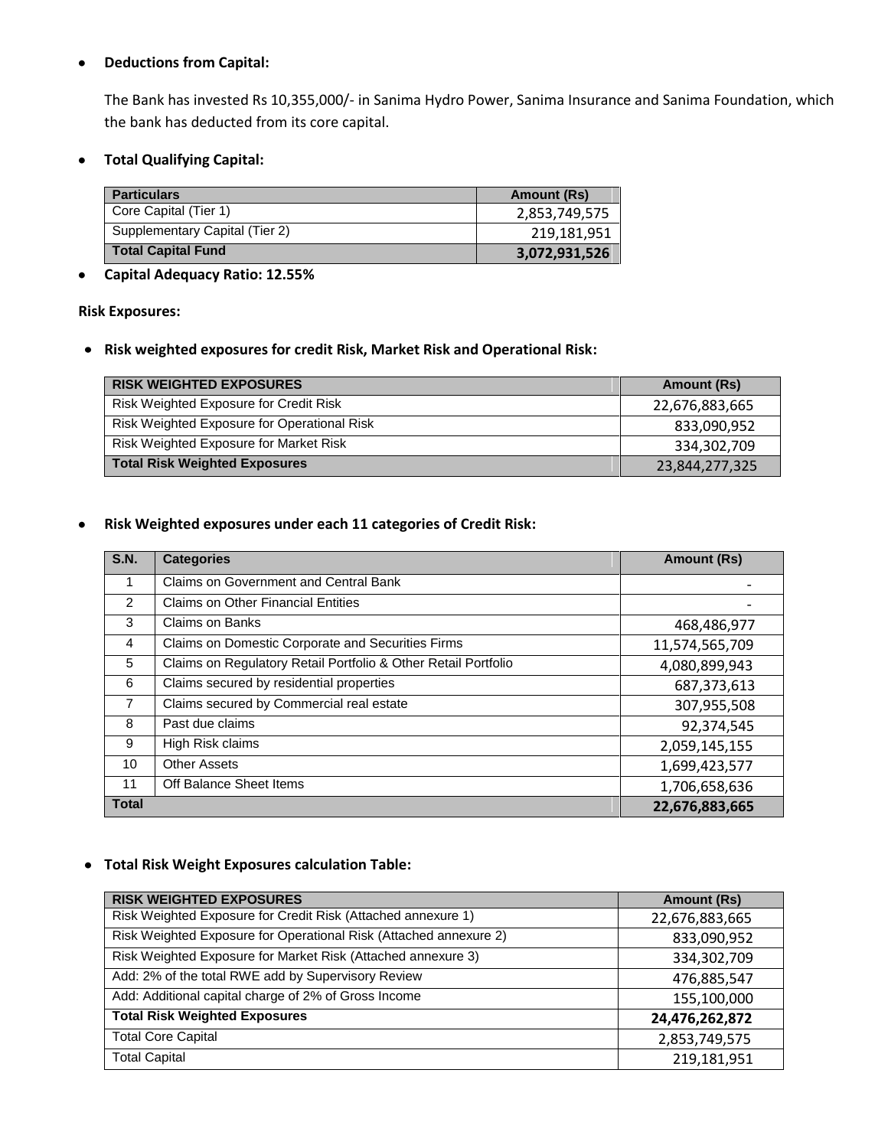#### **Deductions from Capital:**  $\bullet$

The Bank has invested Rs 10,355,000/- in Sanima Hydro Power, Sanima Insurance and Sanima Foundation, which the bank has deducted from its core capital.

**Total Qualifying Capital:**  $\bullet$ 

| <b>Particulars</b>             | <b>Amount (Rs)</b> |
|--------------------------------|--------------------|
| Core Capital (Tier 1)          | 2,853,749,575      |
| Supplementary Capital (Tier 2) | 219,181,951        |
| <b>Total Capital Fund</b>      | 3,072,931,526      |

#### **Capital Adequacy Ratio: 12.55%**  $\bullet$

#### **Risk Exposures:**

**Risk weighted exposures for credit Risk, Market Risk and Operational Risk:**

| <b>RISK WEIGHTED EXPOSURES</b>                | Amount (Rs)    |
|-----------------------------------------------|----------------|
| Risk Weighted Exposure for Credit Risk        | 22,676,883,665 |
| Risk Weighted Exposure for Operational Risk   | 833,090,952    |
| <b>Risk Weighted Exposure for Market Risk</b> | 334,302,709    |
| <b>Total Risk Weighted Exposures</b>          | 23,844,277,325 |

#### **Risk Weighted exposures under each 11 categories of Credit Risk:**  $\bullet$

| <b>S.N.</b>    | <b>Categories</b>                                              | <b>Amount (Rs)</b> |
|----------------|----------------------------------------------------------------|--------------------|
| 1              | Claims on Government and Central Bank                          |                    |
| $\mathcal{P}$  | <b>Claims on Other Financial Entities</b>                      |                    |
| 3              | Claims on Banks                                                | 468,486,977        |
| 4              | Claims on Domestic Corporate and Securities Firms              | 11,574,565,709     |
| 5              | Claims on Regulatory Retail Portfolio & Other Retail Portfolio | 4,080,899,943      |
| 6              | Claims secured by residential properties                       | 687,373,613        |
| $\overline{7}$ | Claims secured by Commercial real estate                       | 307,955,508        |
| 8              | Past due claims                                                | 92,374,545         |
| 9              | High Risk claims                                               | 2,059,145,155      |
| 10             | <b>Other Assets</b>                                            | 1,699,423,577      |
| 11             | Off Balance Sheet Items                                        | 1,706,658,636      |
| <b>Total</b>   |                                                                | 22,676,883,665     |

### **Total Risk Weight Exposures calculation Table:**

| <b>RISK WEIGHTED EXPOSURES</b>                                    | <b>Amount (Rs)</b> |
|-------------------------------------------------------------------|--------------------|
| Risk Weighted Exposure for Credit Risk (Attached annexure 1)      | 22,676,883,665     |
| Risk Weighted Exposure for Operational Risk (Attached annexure 2) | 833,090,952        |
| Risk Weighted Exposure for Market Risk (Attached annexure 3)      | 334,302,709        |
| Add: 2% of the total RWE add by Supervisory Review                | 476,885,547        |
| Add: Additional capital charge of 2% of Gross Income              | 155,100,000        |
| <b>Total Risk Weighted Exposures</b>                              | 24,476,262,872     |
| <b>Total Core Capital</b>                                         | 2,853,749,575      |
| <b>Total Capital</b>                                              | 219,181,951        |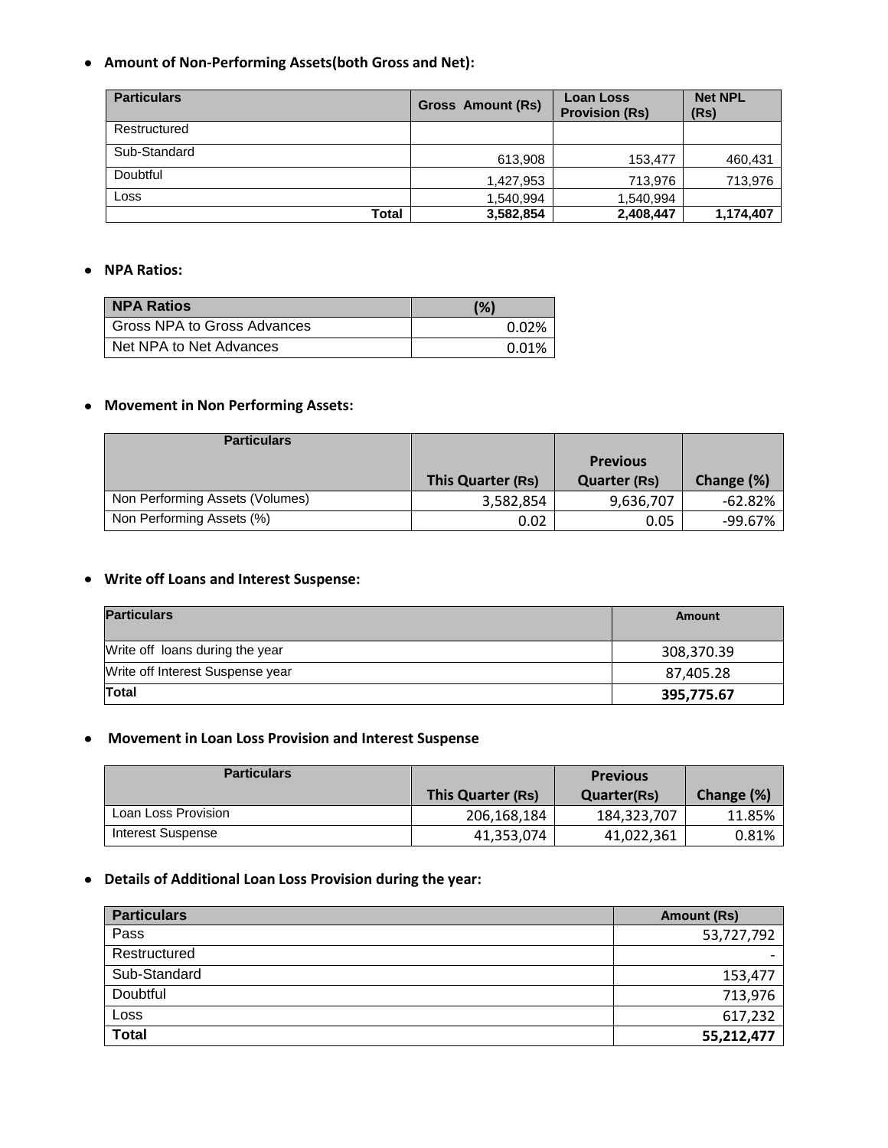**Amount of Non-Performing Assets(both Gross and Net):**

| <b>Particulars</b> | <b>Gross Amount (Rs)</b> | <b>Loan Loss</b><br><b>Provision (Rs)</b> | <b>Net NPL</b><br>(Rs) |
|--------------------|--------------------------|-------------------------------------------|------------------------|
| Restructured       |                          |                                           |                        |
| Sub-Standard       | 613,908                  | 153,477                                   | 460,431                |
| Doubtful           | 1,427,953                | 713.976                                   | 713,976                |
| Loss               | 1,540,994                | 1,540,994                                 |                        |
| Total              | 3,582,854                | 2,408,447                                 | 1,174,407              |

#### **NPA Ratios:**

| <b>NPA Ratios</b>           | (%)   |
|-----------------------------|-------|
| Gross NPA to Gross Advances | 0.02% |
| Net NPA to Net Advances     | 0.01% |

## **Movement in Non Performing Assets:**

| <b>Particulars</b>              |                   |                                        |            |
|---------------------------------|-------------------|----------------------------------------|------------|
|                                 | This Quarter (Rs) | <b>Previous</b><br><b>Quarter (Rs)</b> | Change (%) |
| Non Performing Assets (Volumes) | 3,582,854         | 9,636,707                              | $-62.82%$  |
| Non Performing Assets (%)       | 0.02              | 0.05                                   | -99.67%    |

### **Write off Loans and Interest Suspense:**

| <b>Particulars</b>               | Amount     |
|----------------------------------|------------|
| Write off loans during the year  | 308,370.39 |
| Write off Interest Suspense year | 87,405.28  |
| <b>Total</b>                     | 395,775.67 |

#### **Movement in Loan Loss Provision and Interest Suspense**

| <b>Particulars</b>  |                   | <b>Previous</b>    |            |
|---------------------|-------------------|--------------------|------------|
|                     | This Quarter (Rs) | <b>Quarter(Rs)</b> | Change (%) |
| Loan Loss Provision | 206,168,184       | 184,323,707        | 11.85%     |
| Interest Suspense   | 41,353,074        | 41,022,361         | $0.81\%$   |

# **Details of Additional Loan Loss Provision during the year:**

| <b>Particulars</b> | Amount (Rs) |
|--------------------|-------------|
| Pass               | 53,727,792  |
| Restructured       |             |
| Sub-Standard       | 153,477     |
| Doubtful           | 713,976     |
| Loss               | 617,232     |
| <b>Total</b>       | 55,212,477  |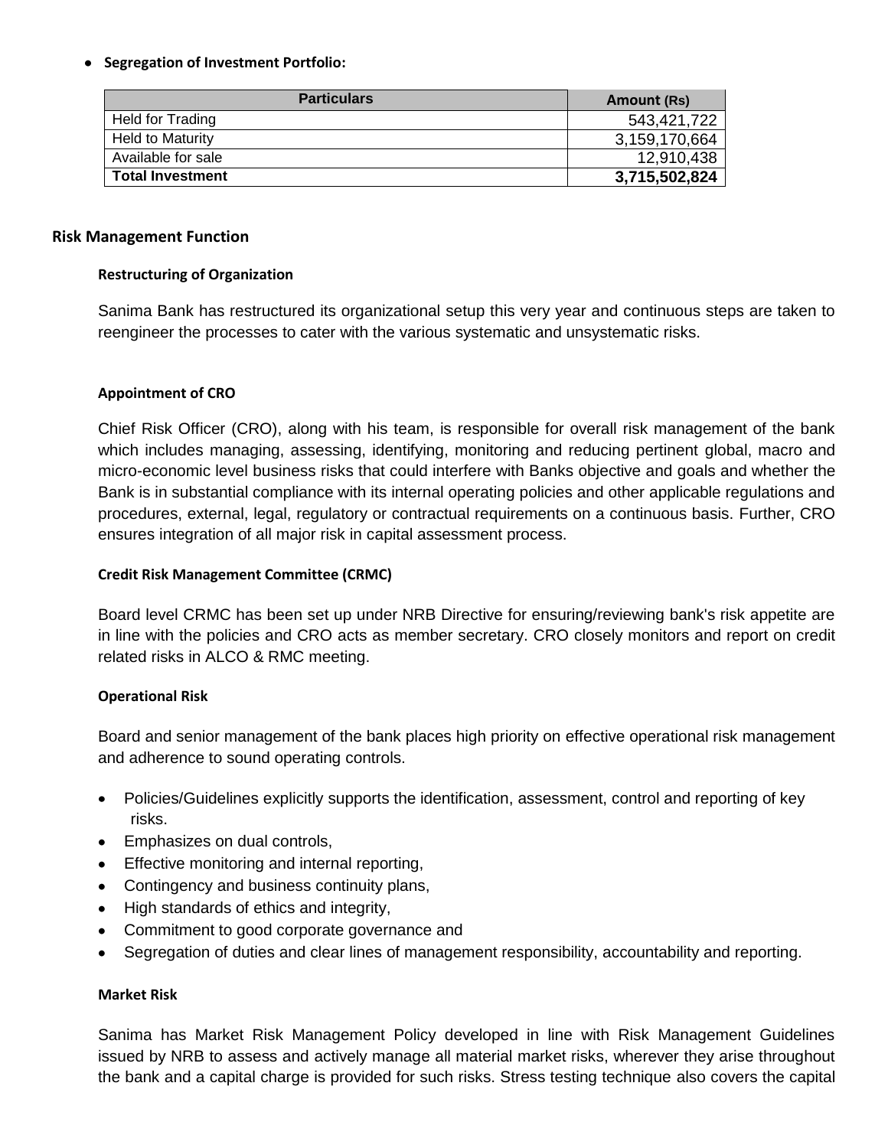### **Segregation of Investment Portfolio:**

| <b>Particulars</b>      | Amount (Rs)   |
|-------------------------|---------------|
| Held for Trading        | 543,421,722   |
| <b>Held to Maturity</b> | 3,159,170,664 |
| Available for sale      | 12,910,438    |
| <b>Total Investment</b> | 3,715,502,824 |

#### **Risk Management Function**

#### **Restructuring of Organization**

Sanima Bank has restructured its organizational setup this very year and continuous steps are taken to reengineer the processes to cater with the various systematic and unsystematic risks.

#### **Appointment of CRO**

Chief Risk Officer (CRO), along with his team, is responsible for overall risk management of the bank which includes managing, assessing, identifying, monitoring and reducing pertinent global, macro and micro-economic level business risks that could interfere with Banks objective and goals and whether the Bank is in substantial compliance with its internal operating policies and other applicable regulations and procedures, external, legal, regulatory or contractual requirements on a continuous basis. Further, CRO ensures integration of all major risk in capital assessment process.

### **Credit Risk Management Committee (CRMC)**

Board level CRMC has been set up under NRB Directive for ensuring/reviewing bank's risk appetite are in line with the policies and CRO acts as member secretary. CRO closely monitors and report on credit related risks in ALCO & RMC meeting.

### **Operational Risk**

Board and senior management of the bank places high priority on effective operational risk management and adherence to sound operating controls.

- Policies/Guidelines explicitly supports the identification, assessment, control and reporting of key risks.
- Emphasizes on dual controls,
- **Effective monitoring and internal reporting,**
- Contingency and business continuity plans,
- High standards of ethics and integrity,
- Commitment to good corporate governance and
- Segregation of duties and clear lines of management responsibility, accountability and reporting.

### **Market Risk**

Sanima has Market Risk Management Policy developed in line with Risk Management Guidelines issued by NRB to assess and actively manage all material market risks, wherever they arise throughout the bank and a capital charge is provided for such risks. Stress testing technique also covers the capital